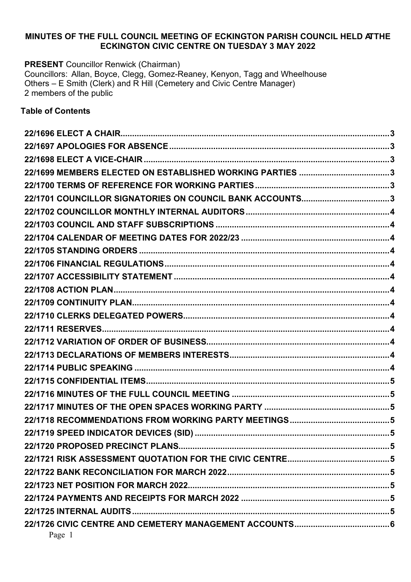### **MINUTES OF THE FULL COUNCIL MEETING OF ECKINGTON PARISH COUNCIL HELD ATTHE ECKINGTON CIVIC CENTRE ON TUESDAY 3 MAY 2022**

**PRESENT** Councillor Renwick (Chairman) Councillors: Allan, Boyce, Clegg, Gomez-Reaney, Kenyon, Tagg and Wheelhouse Others – E Smith (Clerk) and R Hill (Cemetery and Civic Centre Manager) 2 members of the public

#### **Table of Contents**

| 22/1699 MEMBERS ELECTED ON ESTABLISHED WORKING PARTIES 3 |  |
|----------------------------------------------------------|--|
|                                                          |  |
| 22/1701 COUNCILLOR SIGNATORIES ON COUNCIL BANK ACCOUNTS3 |  |
|                                                          |  |
|                                                          |  |
|                                                          |  |
|                                                          |  |
|                                                          |  |
|                                                          |  |
|                                                          |  |
|                                                          |  |
|                                                          |  |
|                                                          |  |
|                                                          |  |
|                                                          |  |
|                                                          |  |
|                                                          |  |
|                                                          |  |
|                                                          |  |
|                                                          |  |
|                                                          |  |
|                                                          |  |
|                                                          |  |
|                                                          |  |
|                                                          |  |
|                                                          |  |
|                                                          |  |
| Page 1                                                   |  |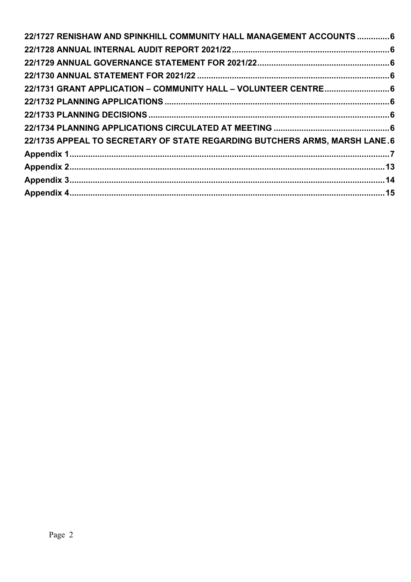| 22/1727 RENISHAW AND SPINKHILL COMMUNITY HALL MANAGEMENT ACCOUNTS  6       |  |
|----------------------------------------------------------------------------|--|
|                                                                            |  |
|                                                                            |  |
|                                                                            |  |
| 22/1731 GRANT APPLICATION - COMMUNITY HALL - VOLUNTEER CENTRE 6            |  |
|                                                                            |  |
|                                                                            |  |
|                                                                            |  |
| 22/1735 APPEAL TO SECRETARY OF STATE REGARDING BUTCHERS ARMS, MARSH LANE.6 |  |
|                                                                            |  |
|                                                                            |  |
|                                                                            |  |
|                                                                            |  |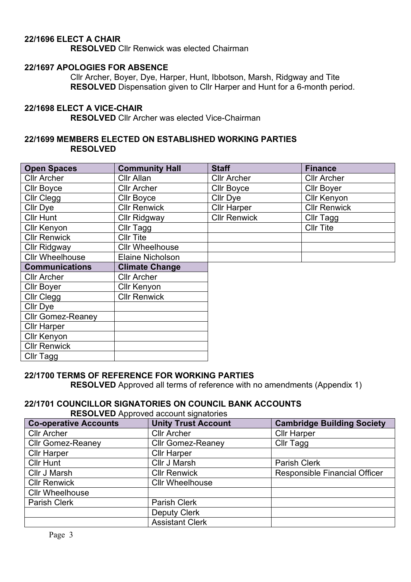## <span id="page-2-0"></span>**22/1696 ELECT A CHAIR**

**RESOLVED** Cllr Renwick was elected Chairman

#### <span id="page-2-1"></span>**22/1697 APOLOGIES FOR ABSENCE**

Cllr Archer, Boyer, Dye, Harper, Hunt, Ibbotson, Marsh, Ridgway and Tite **RESOLVED** Dispensation given to Cllr Harper and Hunt for a 6-month period.

#### <span id="page-2-2"></span>**22/1698 ELECT A VICE-CHAIR**

**RESOLVED** Cllr Archer was elected Vice-Chairman

#### <span id="page-2-3"></span>**22/1699 MEMBERS ELECTED ON ESTABLISHED WORKING PARTIES RESOLVED**

| <b>Open Spaces</b>       | <b>Community Hall</b>   | <b>Staff</b>        | <b>Finance</b>      |
|--------------------------|-------------------------|---------------------|---------------------|
| <b>Cllr Archer</b>       | Cllr Allan              | <b>Cllr Archer</b>  | <b>Cllr Archer</b>  |
| <b>Cllr Boyce</b>        | <b>Cllr Archer</b>      | <b>Cllr Boyce</b>   | <b>Cllr Boyer</b>   |
| Cllr Clegg               | <b>Cllr Boyce</b>       | Cllr Dye            | <b>Cllr Kenyon</b>  |
| Cllr Dye                 | <b>Cllr Renwick</b>     | <b>Cllr Harper</b>  | <b>Cllr Renwick</b> |
| <b>Cllr Hunt</b>         | <b>Cllr Ridgway</b>     | <b>Cllr Renwick</b> | Cllr Tagg           |
| Cllr Kenyon              | Cllr Tagg               |                     | <b>CIIr Tite</b>    |
| <b>Cllr Renwick</b>      | <b>Cllr Tite</b>        |                     |                     |
| <b>Cllr Ridgway</b>      | <b>Cllr Wheelhouse</b>  |                     |                     |
| <b>Cllr Wheelhouse</b>   | <b>Elaine Nicholson</b> |                     |                     |
| <b>Communications</b>    | <b>Climate Change</b>   |                     |                     |
| <b>Cllr Archer</b>       | <b>Cllr Archer</b>      |                     |                     |
| <b>Cllr Boyer</b>        | Cllr Kenyon             |                     |                     |
| Cllr Clegg               | <b>Cllr Renwick</b>     |                     |                     |
| Cllr Dye                 |                         |                     |                     |
| <b>Cllr Gomez-Reaney</b> |                         |                     |                     |
| <b>Cllr Harper</b>       |                         |                     |                     |
| <b>Cllr Kenyon</b>       |                         |                     |                     |
| <b>Cllr Renwick</b>      |                         |                     |                     |
| Cllr Tagg                |                         |                     |                     |

#### <span id="page-2-4"></span>**22/1700 TERMS OF REFERENCE FOR WORKING PARTIES**

**RESOLVED** Approved all terms of reference with no amendments (Appendix 1)

#### <span id="page-2-5"></span>**22/1701 COUNCILLOR SIGNATORIES ON COUNCIL BANK ACCOUNTS RESOLVED** Approved account signatories

| <b>Co-operative Accounts</b> | <b>Unity Trust Account</b> | <b>Cambridge Building Society</b> |
|------------------------------|----------------------------|-----------------------------------|
| <b>Cllr Archer</b>           | <b>Cllr Archer</b>         | <b>Cllr Harper</b>                |
| <b>Cllr Gomez-Reaney</b>     | <b>Cllr Gomez-Reaney</b>   | Cllr Tagg                         |
| <b>Cllr Harper</b>           | <b>Cllr Harper</b>         |                                   |
| <b>Cllr Hunt</b>             | Cllr J Marsh               | <b>Parish Clerk</b>               |
| Cllr J Marsh                 | <b>Cllr Renwick</b>        | Responsible Financial Officer     |
| <b>Cllr Renwick</b>          | <b>Cllr Wheelhouse</b>     |                                   |
| <b>Cllr Wheelhouse</b>       |                            |                                   |
| Parish Clerk                 | Parish Clerk               |                                   |
|                              | <b>Deputy Clerk</b>        |                                   |
|                              | <b>Assistant Clerk</b>     |                                   |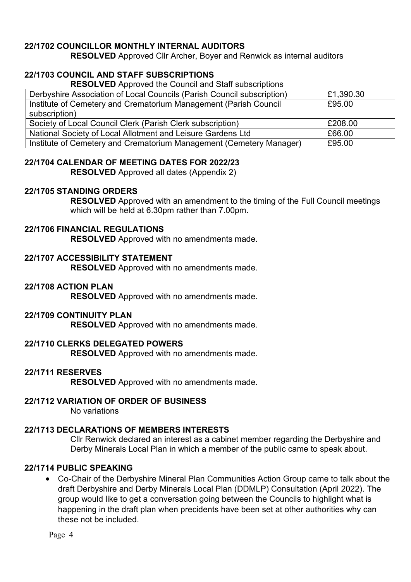## <span id="page-3-0"></span>**22/1702 COUNCILLOR MONTHLY INTERNAL AUDITORS**

**RESOLVED** Approved Cllr Archer, Boyer and Renwick as internal auditors

## <span id="page-3-1"></span>**22/1703 COUNCIL AND STAFF SUBSCRIPTIONS**

**RESOLVED** Approved the Council and Staff subscriptions

| Derbyshire Association of Local Councils (Parish Council subscription) | £1,390.30 |
|------------------------------------------------------------------------|-----------|
| Institute of Cemetery and Crematorium Management (Parish Council       | £95.00    |
| subscription)                                                          |           |
| Society of Local Council Clerk (Parish Clerk subscription)             | £208.00   |
| National Society of Local Allotment and Leisure Gardens Ltd            | £66.00    |
| Institute of Cemetery and Crematorium Management (Cemetery Manager)    | £95.00    |

### <span id="page-3-2"></span>**22/1704 CALENDAR OF MEETING DATES FOR 2022/23**

**RESOLVED** Approved all dates (Appendix 2)

#### <span id="page-3-3"></span>**22/1705 STANDING ORDERS**

**RESOLVED** Approved with an amendment to the timing of the Full Council meetings which will be held at 6.30pm rather than 7.00pm.

### <span id="page-3-4"></span>**22/1706 FINANCIAL REGULATIONS**

**RESOLVED** Approved with no amendments made.

#### <span id="page-3-5"></span>**22/1707 ACCESSIBILITY STATEMENT**

**RESOLVED** Approved with no amendments made.

#### <span id="page-3-6"></span>**22/1708 ACTION PLAN**

**RESOLVED** Approved with no amendments made.

### <span id="page-3-7"></span>**22/1709 CONTINUITY PLAN**

**RESOLVED** Approved with no amendments made.

#### <span id="page-3-8"></span>**22/1710 CLERKS DELEGATED POWERS**

**RESOLVED** Approved with no amendments made.

#### <span id="page-3-9"></span>**22/1711 RESERVES**

**RESOLVED** Approved with no amendments made.

#### <span id="page-3-10"></span>**22/1712 VARIATION OF ORDER OF BUSINESS**

No variations

#### <span id="page-3-11"></span>**22/1713 DECLARATIONS OF MEMBERS INTERESTS**

Cllr Renwick declared an interest as a cabinet member regarding the Derbyshire and Derby Minerals Local Plan in which a member of the public came to speak about.

#### <span id="page-3-12"></span>**22/1714 PUBLIC SPEAKING**

• Co-Chair of the Derbyshire Mineral Plan Communities Action Group came to talk about the draft Derbyshire and Derby Minerals Local Plan (DDMLP) Consultation (April 2022). The group would like to get a conversation going between the Councils to highlight what is happening in the draft plan when precidents have been set at other authorities why can these not be included.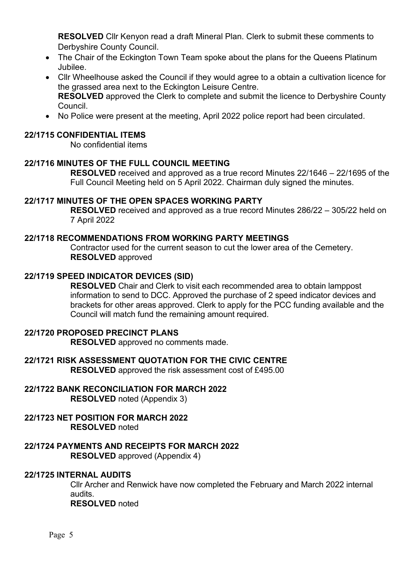**RESOLVED** Cllr Kenyon read a draft Mineral Plan. Clerk to submit these comments to Derbyshire County Council.

- The Chair of the Eckington Town Team spoke about the plans for the Queens Platinum Jubilee.
- Cllr Wheelhouse asked the Council if they would agree to a obtain a cultivation licence for the grassed area next to the Eckington Leisure Centre. **RESOLVED** approved the Clerk to complete and submit the licence to Derbyshire County Council.
- No Police were present at the meeting, April 2022 police report had been circulated.

#### <span id="page-4-0"></span>**22/1715 CONFIDENTIAL ITEMS**

No confidential items

#### <span id="page-4-1"></span>**22/1716 MINUTES OF THE FULL COUNCIL MEETING**

**RESOLVED** received and approved as a true record Minutes 22/1646 – 22/1695 of the Full Council Meeting held on 5 April 2022. Chairman duly signed the minutes.

#### <span id="page-4-2"></span>**22/1717 MINUTES OF THE OPEN SPACES WORKING PARTY**

**RESOLVED** received and approved as a true record Minutes 286/22 – 305/22 held on 7 April 2022

#### <span id="page-4-3"></span>**22/1718 RECOMMENDATIONS FROM WORKING PARTY MEETINGS**

Contractor used for the current season to cut the lower area of the Cemetery. **RESOLVED** approved

#### <span id="page-4-4"></span>**22/1719 SPEED INDICATOR DEVICES (SID)**

**RESOLVED** Chair and Clerk to visit each recommended area to obtain lamppost information to send to DCC. Approved the purchase of 2 speed indicator devices and brackets for other areas approved. Clerk to apply for the PCC funding available and the Council will match fund the remaining amount required.

#### <span id="page-4-5"></span>**22/1720 PROPOSED PRECINCT PLANS**

**RESOLVED** approved no comments made.

## <span id="page-4-6"></span>**22/1721 RISK ASSESSMENT QUOTATION FOR THE CIVIC CENTRE**

**RESOLVED** approved the risk assessment cost of £495.00

## <span id="page-4-7"></span>**22/1722 BANK RECONCILIATION FOR MARCH 2022**

**RESOLVED** noted (Appendix 3)

#### <span id="page-4-8"></span>**22/1723 NET POSITION FOR MARCH 2022 RESOLVED** noted

<span id="page-4-9"></span>**22/1724 PAYMENTS AND RECEIPTS FOR MARCH 2022 RESOLVED** approved (Appendix 4)

#### <span id="page-4-10"></span>**22/1725 INTERNAL AUDITS**

Cllr Archer and Renwick have now completed the February and March 2022 internal audits. **RESOLVED** noted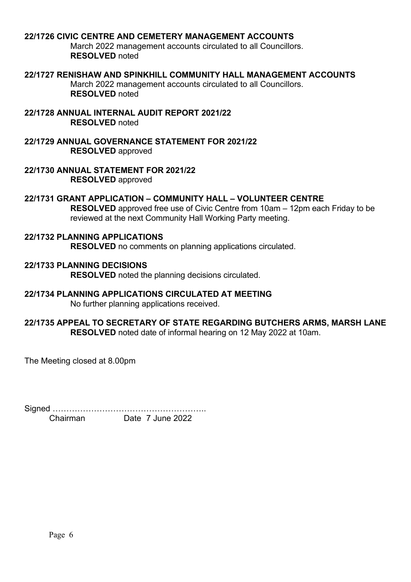#### <span id="page-5-0"></span>**22/1726 CIVIC CENTRE AND CEMETERY MANAGEMENT ACCOUNTS**

March 2022 management accounts circulated to all Councillors. **RESOLVED** noted

#### <span id="page-5-1"></span>**22/1727 RENISHAW AND SPINKHILL COMMUNITY HALL MANAGEMENT ACCOUNTS**

March 2022 management accounts circulated to all Councillors. **RESOLVED** noted

<span id="page-5-2"></span>**22/1728 ANNUAL INTERNAL AUDIT REPORT 2021/22 RESOLVED** noted

<span id="page-5-3"></span>**22/1729 ANNUAL GOVERNANCE STATEMENT FOR 2021/22 RESOLVED** approved

<span id="page-5-4"></span>**22/1730 ANNUAL STATEMENT FOR 2021/22 RESOLVED** approved

#### <span id="page-5-5"></span>**22/1731 GRANT APPLICATION – COMMUNITY HALL – VOLUNTEER CENTRE**

**RESOLVED** approved free use of Civic Centre from 10am – 12pm each Friday to be reviewed at the next Community Hall Working Party meeting.

<span id="page-5-6"></span>**22/1732 PLANNING APPLICATIONS RESOLVED** no comments on planning applications circulated.

<span id="page-5-7"></span>**22/1733 PLANNING DECISIONS RESOLVED** noted the planning decisions circulated.

## <span id="page-5-8"></span>**22/1734 PLANNING APPLICATIONS CIRCULATED AT MEETING**

No further planning applications received.

#### <span id="page-5-9"></span>**22/1735 APPEAL TO SECRETARY OF STATE REGARDING BUTCHERS ARMS, MARSH LANE RESOLVED** noted date of informal hearing on 12 May 2022 at 10am.

The Meeting closed at 8.00pm

Signed ………………………………………………..

Chairman Date 7 June 2022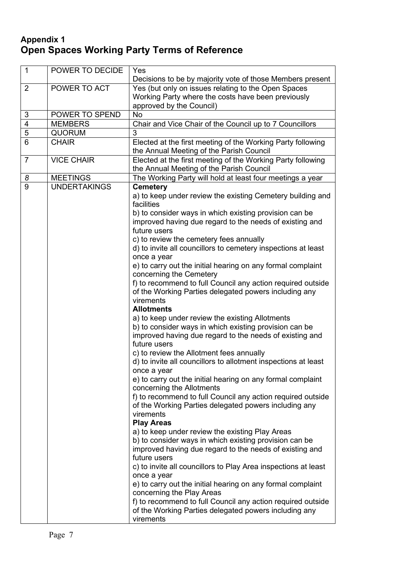## <span id="page-6-0"></span>**Appendix 1 Open Spaces Working Party Terms of Reference**

| $\overline{1}$ | POWER TO DECIDE     | Yes                                                                                                                                                                                                                                                                                                                                                                                                                                                                                                                                                                                                                                                                                                                                                                                                                                                                                                                                                                                                                                                                                                                                                                                                                                                                                                                                                                                                                                                                                                                                                                                                                                                                                     |
|----------------|---------------------|-----------------------------------------------------------------------------------------------------------------------------------------------------------------------------------------------------------------------------------------------------------------------------------------------------------------------------------------------------------------------------------------------------------------------------------------------------------------------------------------------------------------------------------------------------------------------------------------------------------------------------------------------------------------------------------------------------------------------------------------------------------------------------------------------------------------------------------------------------------------------------------------------------------------------------------------------------------------------------------------------------------------------------------------------------------------------------------------------------------------------------------------------------------------------------------------------------------------------------------------------------------------------------------------------------------------------------------------------------------------------------------------------------------------------------------------------------------------------------------------------------------------------------------------------------------------------------------------------------------------------------------------------------------------------------------------|
|                |                     | Decisions to be by majority vote of those Members present                                                                                                                                                                                                                                                                                                                                                                                                                                                                                                                                                                                                                                                                                                                                                                                                                                                                                                                                                                                                                                                                                                                                                                                                                                                                                                                                                                                                                                                                                                                                                                                                                               |
| $\overline{2}$ | POWER TO ACT        | Yes (but only on issues relating to the Open Spaces<br>Working Party where the costs have been previously<br>approved by the Council)                                                                                                                                                                                                                                                                                                                                                                                                                                                                                                                                                                                                                                                                                                                                                                                                                                                                                                                                                                                                                                                                                                                                                                                                                                                                                                                                                                                                                                                                                                                                                   |
| $\sqrt{3}$     | POWER TO SPEND      | <b>No</b>                                                                                                                                                                                                                                                                                                                                                                                                                                                                                                                                                                                                                                                                                                                                                                                                                                                                                                                                                                                                                                                                                                                                                                                                                                                                                                                                                                                                                                                                                                                                                                                                                                                                               |
| $\overline{4}$ | <b>MEMBERS</b>      | Chair and Vice Chair of the Council up to 7 Councillors                                                                                                                                                                                                                                                                                                                                                                                                                                                                                                                                                                                                                                                                                                                                                                                                                                                                                                                                                                                                                                                                                                                                                                                                                                                                                                                                                                                                                                                                                                                                                                                                                                 |
| $\overline{5}$ | <b>QUORUM</b>       | 3                                                                                                                                                                                                                                                                                                                                                                                                                                                                                                                                                                                                                                                                                                                                                                                                                                                                                                                                                                                                                                                                                                                                                                                                                                                                                                                                                                                                                                                                                                                                                                                                                                                                                       |
| 6              | <b>CHAIR</b>        | Elected at the first meeting of the Working Party following<br>the Annual Meeting of the Parish Council                                                                                                                                                                                                                                                                                                                                                                                                                                                                                                                                                                                                                                                                                                                                                                                                                                                                                                                                                                                                                                                                                                                                                                                                                                                                                                                                                                                                                                                                                                                                                                                 |
| $\overline{7}$ | <b>VICE CHAIR</b>   | Elected at the first meeting of the Working Party following<br>the Annual Meeting of the Parish Council                                                                                                                                                                                                                                                                                                                                                                                                                                                                                                                                                                                                                                                                                                                                                                                                                                                                                                                                                                                                                                                                                                                                                                                                                                                                                                                                                                                                                                                                                                                                                                                 |
| 8              | <b>MEETINGS</b>     | The Working Party will hold at least four meetings a year                                                                                                                                                                                                                                                                                                                                                                                                                                                                                                                                                                                                                                                                                                                                                                                                                                                                                                                                                                                                                                                                                                                                                                                                                                                                                                                                                                                                                                                                                                                                                                                                                               |
| 9              | <b>UNDERTAKINGS</b> | <b>Cemetery</b><br>a) to keep under review the existing Cemetery building and<br>facilities<br>b) to consider ways in which existing provision can be<br>improved having due regard to the needs of existing and<br>future users<br>c) to review the cemetery fees annually<br>d) to invite all councillors to cemetery inspections at least<br>once a year<br>e) to carry out the initial hearing on any formal complaint<br>concerning the Cemetery<br>f) to recommend to full Council any action required outside<br>of the Working Parties delegated powers including any<br>virements<br><b>Allotments</b><br>a) to keep under review the existing Allotments<br>b) to consider ways in which existing provision can be<br>improved having due regard to the needs of existing and<br>future users<br>c) to review the Allotment fees annually<br>d) to invite all councillors to allotment inspections at least<br>once a year<br>e) to carry out the initial hearing on any formal complaint<br>concerning the Allotments<br>f) to recommend to full Council any action required outside<br>of the Working Parties delegated powers including any<br>virements<br><b>Play Areas</b><br>a) to keep under review the existing Play Areas<br>b) to consider ways in which existing provision can be<br>improved having due regard to the needs of existing and<br>future users<br>c) to invite all councillors to Play Area inspections at least<br>once a year<br>e) to carry out the initial hearing on any formal complaint<br>concerning the Play Areas<br>f) to recommend to full Council any action required outside<br>of the Working Parties delegated powers including any |
|                |                     | virements                                                                                                                                                                                                                                                                                                                                                                                                                                                                                                                                                                                                                                                                                                                                                                                                                                                                                                                                                                                                                                                                                                                                                                                                                                                                                                                                                                                                                                                                                                                                                                                                                                                                               |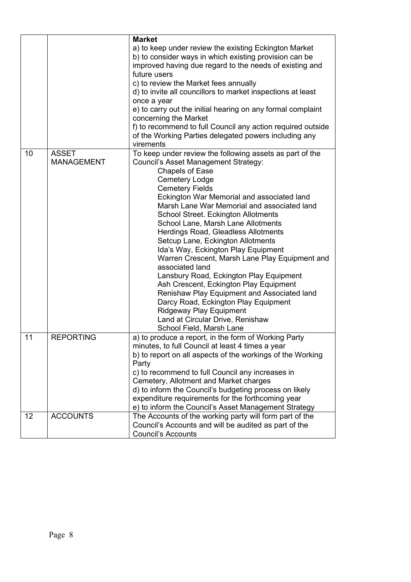|                   |                                   | <b>Market</b>                                                                                                                                                                                                                                                                                                                                                                                                                                                                                                                                                                                                                                                                              |
|-------------------|-----------------------------------|--------------------------------------------------------------------------------------------------------------------------------------------------------------------------------------------------------------------------------------------------------------------------------------------------------------------------------------------------------------------------------------------------------------------------------------------------------------------------------------------------------------------------------------------------------------------------------------------------------------------------------------------------------------------------------------------|
|                   |                                   | a) to keep under review the existing Eckington Market<br>b) to consider ways in which existing provision can be<br>improved having due regard to the needs of existing and<br>future users                                                                                                                                                                                                                                                                                                                                                                                                                                                                                                 |
|                   |                                   | c) to review the Market fees annually<br>d) to invite all councillors to market inspections at least                                                                                                                                                                                                                                                                                                                                                                                                                                                                                                                                                                                       |
|                   |                                   | once a year<br>e) to carry out the initial hearing on any formal complaint<br>concerning the Market                                                                                                                                                                                                                                                                                                                                                                                                                                                                                                                                                                                        |
|                   |                                   | f) to recommend to full Council any action required outside<br>of the Working Parties delegated powers including any<br>virements                                                                                                                                                                                                                                                                                                                                                                                                                                                                                                                                                          |
| 10                | <b>ASSET</b><br><b>MANAGEMENT</b> | To keep under review the following assets as part of the<br>Council's Asset Management Strategy:<br><b>Chapels of Ease</b><br><b>Cemetery Lodge</b><br><b>Cemetery Fields</b><br>Eckington War Memorial and associated land<br>Marsh Lane War Memorial and associated land<br>School Street. Eckington Allotments<br>School Lane, Marsh Lane Allotments<br><b>Herdings Road, Gleadless Allotments</b><br>Setcup Lane, Eckington Allotments<br>Ida's Way, Eckington Play Equipment<br>Warren Crescent, Marsh Lane Play Equipment and<br>associated land<br>Lansbury Road, Eckington Play Equipment<br>Ash Crescent, Eckington Play Equipment<br>Renishaw Play Equipment and Associated land |
|                   |                                   | Darcy Road, Eckington Play Equipment<br><b>Ridgeway Play Equipment</b><br>Land at Circular Drive, Renishaw<br>School Field, Marsh Lane                                                                                                                                                                                                                                                                                                                                                                                                                                                                                                                                                     |
| 11                | <b>REPORTING</b>                  | a) to produce a report, in the form of Working Party<br>minutes, to full Council at least 4 times a year<br>b) to report on all aspects of the workings of the Working<br>Party<br>c) to recommend to full Council any increases in                                                                                                                                                                                                                                                                                                                                                                                                                                                        |
|                   |                                   | Cemetery, Allotment and Market charges<br>d) to inform the Council's budgeting process on likely<br>expenditure requirements for the forthcoming year<br>e) to inform the Council's Asset Management Strategy                                                                                                                                                                                                                                                                                                                                                                                                                                                                              |
| $12 \overline{ }$ | <b>ACCOUNTS</b>                   | The Accounts of the working party will form part of the<br>Council's Accounts and will be audited as part of the<br><b>Council's Accounts</b>                                                                                                                                                                                                                                                                                                                                                                                                                                                                                                                                              |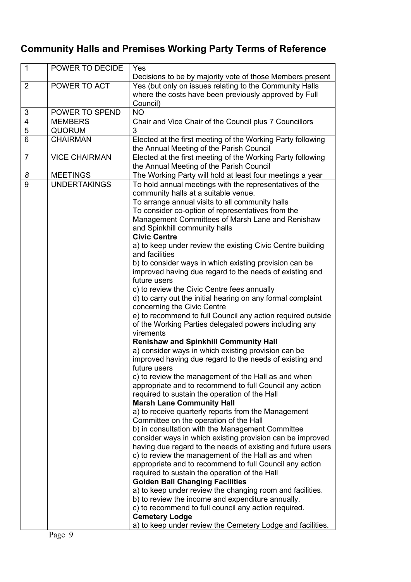# **Community Halls and Premises Working Party Terms of Reference**

| $\mathbf{1}$   | POWER TO DECIDE      | Yes<br>Decisions to be by majority vote of those Members present                                                 |
|----------------|----------------------|------------------------------------------------------------------------------------------------------------------|
| $\overline{2}$ | POWER TO ACT         | Yes (but only on issues relating to the Community Halls<br>where the costs have been previously approved by Full |
|                |                      | Council)                                                                                                         |
| $\sqrt{3}$     | POWER TO SPEND       | <b>NO</b>                                                                                                        |
| $\overline{4}$ | <b>MEMBERS</b>       | Chair and Vice Chair of the Council plus 7 Councillors                                                           |
| $\overline{5}$ | <b>QUORUM</b>        | 3                                                                                                                |
| 6              | <b>CHAIRMAN</b>      | Elected at the first meeting of the Working Party following                                                      |
|                |                      | the Annual Meeting of the Parish Council                                                                         |
| $\overline{7}$ | <b>VICE CHAIRMAN</b> | Elected at the first meeting of the Working Party following                                                      |
|                |                      | the Annual Meeting of the Parish Council                                                                         |
| 8              | <b>MEETINGS</b>      | The Working Party will hold at least four meetings a year                                                        |
| 9              | <b>UNDERTAKINGS</b>  | To hold annual meetings with the representatives of the                                                          |
|                |                      | community halls at a suitable venue.                                                                             |
|                |                      | To arrange annual visits to all community halls                                                                  |
|                |                      | To consider co-option of representatives from the                                                                |
|                |                      | Management Committees of Marsh Lane and Renishaw                                                                 |
|                |                      | and Spinkhill community halls                                                                                    |
|                |                      | <b>Civic Centre</b>                                                                                              |
|                |                      | a) to keep under review the existing Civic Centre building                                                       |
|                |                      | and facilities                                                                                                   |
|                |                      | b) to consider ways in which existing provision can be                                                           |
|                |                      | improved having due regard to the needs of existing and                                                          |
|                |                      | future users                                                                                                     |
|                |                      | c) to review the Civic Centre fees annually                                                                      |
|                |                      | d) to carry out the initial hearing on any formal complaint                                                      |
|                |                      | concerning the Civic Centre                                                                                      |
|                |                      | e) to recommend to full Council any action required outside                                                      |
|                |                      | of the Working Parties delegated powers including any<br>virements                                               |
|                |                      | <b>Renishaw and Spinkhill Community Hall</b>                                                                     |
|                |                      | a) consider ways in which existing provision can be                                                              |
|                |                      | improved having due regard to the needs of existing and<br>future users                                          |
|                |                      | c) to review the management of the Hall as and when                                                              |
|                |                      | appropriate and to recommend to full Council any action                                                          |
|                |                      | required to sustain the operation of the Hall                                                                    |
|                |                      | <b>Marsh Lane Community Hall</b>                                                                                 |
|                |                      | a) to receive quarterly reports from the Management                                                              |
|                |                      | Committee on the operation of the Hall                                                                           |
|                |                      | b) in consultation with the Management Committee                                                                 |
|                |                      | consider ways in which existing provision can be improved                                                        |
|                |                      | having due regard to the needs of existing and future users                                                      |
|                |                      | c) to review the management of the Hall as and when                                                              |
|                |                      | appropriate and to recommend to full Council any action                                                          |
|                |                      | required to sustain the operation of the Hall                                                                    |
|                |                      | <b>Golden Ball Changing Facilities</b>                                                                           |
|                |                      | a) to keep under review the changing room and facilities.                                                        |
|                |                      | b) to review the income and expenditure annually.                                                                |
|                |                      | c) to recommend to full council any action required.                                                             |
|                |                      | <b>Cemetery Lodge</b>                                                                                            |
|                |                      | a) to keep under review the Cemetery Lodge and facilities.                                                       |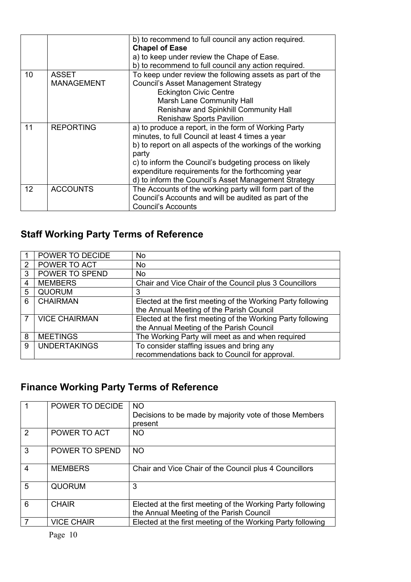|    |                   | b) to recommend to full council any action required.<br><b>Chapel of Ease</b> |
|----|-------------------|-------------------------------------------------------------------------------|
|    |                   | a) to keep under review the Chape of Ease.                                    |
|    |                   | b) to recommend to full council any action required.                          |
| 10 | <b>ASSET</b>      | To keep under review the following assets as part of the                      |
|    | <b>MANAGEMENT</b> | <b>Council's Asset Management Strategy</b>                                    |
|    |                   | <b>Eckington Civic Centre</b>                                                 |
|    |                   | <b>Marsh Lane Community Hall</b>                                              |
|    |                   | Renishaw and Spinkhill Community Hall                                         |
|    |                   | <b>Renishaw Sports Pavilion</b>                                               |
| 11 | <b>REPORTING</b>  | a) to produce a report, in the form of Working Party                          |
|    |                   | minutes, to full Council at least 4 times a year                              |
|    |                   | b) to report on all aspects of the workings of the working                    |
|    |                   | party                                                                         |
|    |                   | c) to inform the Council's budgeting process on likely                        |
|    |                   | expenditure requirements for the forthcoming year                             |
|    |                   | d) to inform the Council's Asset Management Strategy                          |
| 12 | <b>ACCOUNTS</b>   | The Accounts of the working party will form part of the                       |
|    |                   | Council's Accounts and will be audited as part of the                         |
|    |                   | <b>Council's Accounts</b>                                                     |

# **Staff Working Party Terms of Reference**

|   | POWER TO DECIDE      | No                                                          |
|---|----------------------|-------------------------------------------------------------|
| 2 | POWER TO ACT         | No                                                          |
| 3 | POWER TO SPEND       | No                                                          |
| 4 | <b>MEMBERS</b>       | Chair and Vice Chair of the Council plus 3 Councillors      |
| 5 | <b>QUORUM</b>        | 3                                                           |
| 6 | <b>CHAIRMAN</b>      | Elected at the first meeting of the Working Party following |
|   |                      | the Annual Meeting of the Parish Council                    |
|   | <b>VICE CHAIRMAN</b> | Elected at the first meeting of the Working Party following |
|   |                      | the Annual Meeting of the Parish Council                    |
| 8 | <b>MEETINGS</b>      | The Working Party will meet as and when required            |
| 9 | <b>UNDERTAKINGS</b>  | To consider staffing issues and bring any                   |
|   |                      | recommendations back to Council for approval.               |

## **Finance Working Party Terms of Reference**

|               | POWER TO DECIDE   | <b>NO</b><br>Decisions to be made by majority vote of those Members<br>present                          |
|---------------|-------------------|---------------------------------------------------------------------------------------------------------|
| $\mathcal{P}$ | POWER TO ACT      | NO.                                                                                                     |
| 3             | POWER TO SPEND    | <b>NO</b>                                                                                               |
| 4             | <b>MEMBERS</b>    | Chair and Vice Chair of the Council plus 4 Councillors                                                  |
| 5             | <b>QUORUM</b>     | 3                                                                                                       |
| 6             | <b>CHAIR</b>      | Elected at the first meeting of the Working Party following<br>the Annual Meeting of the Parish Council |
|               | <b>VICE CHAIR</b> | Elected at the first meeting of the Working Party following                                             |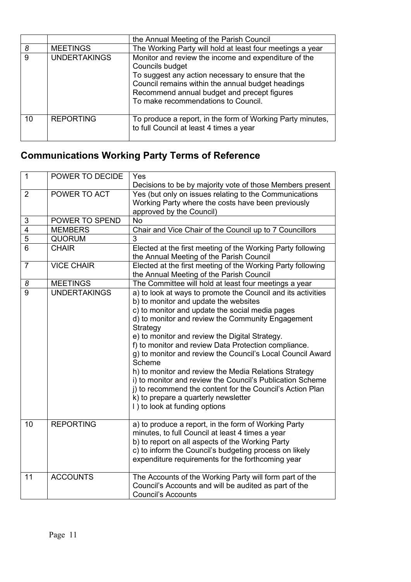|    |                     | the Annual Meeting of the Parish Council                                                                                                                                                                                                                                 |
|----|---------------------|--------------------------------------------------------------------------------------------------------------------------------------------------------------------------------------------------------------------------------------------------------------------------|
| 8  | <b>MEETINGS</b>     | The Working Party will hold at least four meetings a year                                                                                                                                                                                                                |
| 9  | <b>UNDERTAKINGS</b> | Monitor and review the income and expenditure of the<br>Councils budget<br>To suggest any action necessary to ensure that the<br>Council remains within the annual budget headings<br>Recommend annual budget and precept figures<br>To make recommendations to Council. |
| 10 | <b>REPORTING</b>    | To produce a report, in the form of Working Party minutes,<br>to full Council at least 4 times a year                                                                                                                                                                    |

# **Communications Working Party Terms of Reference**

| $\mathbf{1}$   | POWER TO DECIDE     | Yes<br>Decisions to be by majority vote of those Members present                                                                                                                                                                                                                                                                                                                                                                                                                                                                                                                                                                                                        |
|----------------|---------------------|-------------------------------------------------------------------------------------------------------------------------------------------------------------------------------------------------------------------------------------------------------------------------------------------------------------------------------------------------------------------------------------------------------------------------------------------------------------------------------------------------------------------------------------------------------------------------------------------------------------------------------------------------------------------------|
| $\overline{2}$ | POWER TO ACT        | Yes (but only on issues relating to the Communications<br>Working Party where the costs have been previously<br>approved by the Council)                                                                                                                                                                                                                                                                                                                                                                                                                                                                                                                                |
| 3              | POWER TO SPEND      | <b>No</b>                                                                                                                                                                                                                                                                                                                                                                                                                                                                                                                                                                                                                                                               |
| 4              | <b>MEMBERS</b>      | Chair and Vice Chair of the Council up to 7 Councillors                                                                                                                                                                                                                                                                                                                                                                                                                                                                                                                                                                                                                 |
| $\overline{5}$ | QUORUM              | 3                                                                                                                                                                                                                                                                                                                                                                                                                                                                                                                                                                                                                                                                       |
| 6              | CHAIR               | Elected at the first meeting of the Working Party following<br>the Annual Meeting of the Parish Council                                                                                                                                                                                                                                                                                                                                                                                                                                                                                                                                                                 |
| $\overline{7}$ | <b>VICE CHAIR</b>   | Elected at the first meeting of the Working Party following<br>the Annual Meeting of the Parish Council                                                                                                                                                                                                                                                                                                                                                                                                                                                                                                                                                                 |
| 8              | <b>MEETINGS</b>     | The Committee will hold at least four meetings a year                                                                                                                                                                                                                                                                                                                                                                                                                                                                                                                                                                                                                   |
| 9              | <b>UNDERTAKINGS</b> | a) to look at ways to promote the Council and its activities<br>b) to monitor and update the websites<br>c) to monitor and update the social media pages<br>d) to monitor and review the Community Engagement<br>Strategy<br>e) to monitor and review the Digital Strategy.<br>f) to monitor and review Data Protection compliance.<br>g) to monitor and review the Council's Local Council Award<br>Scheme<br>h) to monitor and review the Media Relations Strategy<br>i) to monitor and review the Council's Publication Scheme<br>j) to recommend the content for the Council's Action Plan<br>k) to prepare a quarterly newsletter<br>I) to look at funding options |
| 10             | <b>REPORTING</b>    | a) to produce a report, in the form of Working Party<br>minutes, to full Council at least 4 times a year<br>b) to report on all aspects of the Working Party<br>c) to inform the Council's budgeting process on likely<br>expenditure requirements for the forthcoming year                                                                                                                                                                                                                                                                                                                                                                                             |
| 11             | <b>ACCOUNTS</b>     | The Accounts of the Working Party will form part of the<br>Council's Accounts and will be audited as part of the<br><b>Council's Accounts</b>                                                                                                                                                                                                                                                                                                                                                                                                                                                                                                                           |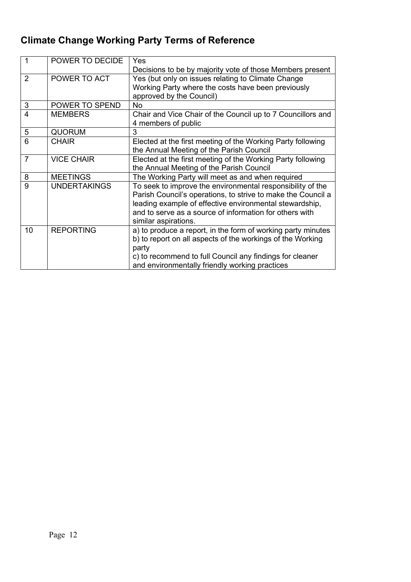# **Climate Change Working Party Terms of Reference**

| 1              | POWER TO DECIDE     | Yes                                                          |
|----------------|---------------------|--------------------------------------------------------------|
|                |                     | Decisions to be by majority vote of those Members present    |
| $\overline{2}$ | POWER TO ACT        | Yes (but only on issues relating to Climate Change           |
|                |                     | Working Party where the costs have been previously           |
|                |                     | approved by the Council)                                     |
| 3              | POWER TO SPEND      | <b>No</b>                                                    |
| 4              | <b>MEMBERS</b>      | Chair and Vice Chair of the Council up to 7 Councillors and  |
|                |                     | 4 members of public                                          |
| 5              | <b>QUORUM</b>       | 3                                                            |
| 6              | <b>CHAIR</b>        | Elected at the first meeting of the Working Party following  |
|                |                     | the Annual Meeting of the Parish Council                     |
| $\overline{7}$ | <b>VICE CHAIR</b>   | Elected at the first meeting of the Working Party following  |
|                |                     | the Annual Meeting of the Parish Council                     |
| 8              | <b>MEETINGS</b>     | The Working Party will meet as and when required             |
| 9              | <b>UNDERTAKINGS</b> | To seek to improve the environmental responsibility of the   |
|                |                     | Parish Council's operations, to strive to make the Council a |
|                |                     | leading example of effective environmental stewardship,      |
|                |                     | and to serve as a source of information for others with      |
|                |                     | similar aspirations.                                         |
| 10             | <b>REPORTING</b>    | a) to produce a report, in the form of working party minutes |
|                |                     | b) to report on all aspects of the workings of the Working   |
|                |                     | party                                                        |
|                |                     | c) to recommend to full Council any findings for cleaner     |
|                |                     | and environmentally friendly working practices               |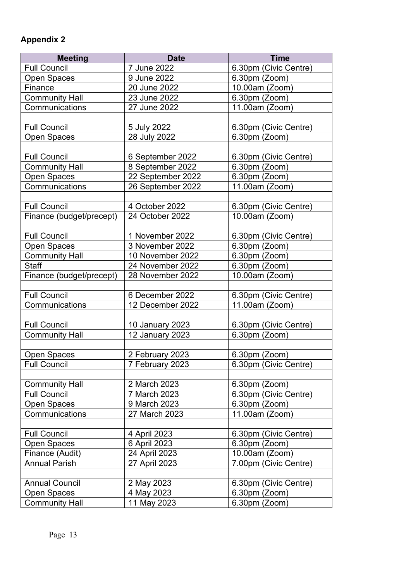## <span id="page-12-0"></span>**Appendix 2**

| <b>Meeting</b>           | <b>Date</b>            | <b>Time</b>           |
|--------------------------|------------------------|-----------------------|
| <b>Full Council</b>      | 7 June 2022            | 6.30pm (Civic Centre) |
| Open Spaces              | 9 June 2022            | 6.30pm (Zoom)         |
| Finance                  | 20 June 2022           | 10.00am (Zoom)        |
| <b>Community Hall</b>    | 23 June 2022           | 6.30pm (Zoom)         |
| Communications           | 27 June 2022           | 11.00am (Zoom)        |
|                          |                        |                       |
| <b>Full Council</b>      | 5 July 2022            | 6.30pm (Civic Centre) |
| Open Spaces              | 28 July 2022           | 6.30pm (Zoom)         |
|                          |                        |                       |
| <b>Full Council</b>      | 6 September 2022       | 6.30pm (Civic Centre) |
| <b>Community Hall</b>    | 8 September 2022       | 6.30pm (Zoom)         |
| Open Spaces              | 22 September 2022      | 6.30pm (Zoom)         |
| Communications           | 26 September 2022      | 11.00am (Zoom)        |
|                          |                        |                       |
| <b>Full Council</b>      | 4 October 2022         | 6.30pm (Civic Centre) |
| Finance (budget/precept) | 24 October 2022        | 10.00am (Zoom)        |
|                          |                        |                       |
| <b>Full Council</b>      | 1 November 2022        | 6.30pm (Civic Centre) |
| Open Spaces              | 3 November 2022        | 6.30pm (Zoom)         |
| <b>Community Hall</b>    | 10 November 2022       | 6.30pm (Zoom)         |
| <b>Staff</b>             | 24 November 2022       | 6.30pm (Zoom)         |
| Finance (budget/precept) | 28 November 2022       | 10.00am (Zoom)        |
|                          |                        |                       |
| <b>Full Council</b>      | 6 December 2022        | 6.30pm (Civic Centre) |
| Communications           | 12 December 2022       | 11.00am (Zoom)        |
|                          |                        |                       |
| <b>Full Council</b>      | <b>10 January 2023</b> | 6.30pm (Civic Centre) |
| <b>Community Hall</b>    | 12 January 2023        | 6.30pm (Zoom)         |
|                          |                        |                       |
| <b>Open Spaces</b>       | 2 February 2023        | 6.30pm (Zoom)         |
| <b>Full Council</b>      | 7 February 2023        | 6.30pm (Civic Centre) |
|                          |                        |                       |
| <b>Community Hall</b>    | 2 March 2023           | $6.30pm$ (Zoom)       |
| <b>Full Council</b>      | 7 March 2023           | 6.30pm (Civic Centre) |
| Open Spaces              | 9 March 2023           | 6.30pm (Zoom)         |
| Communications           | 27 March 2023          | 11.00am (Zoom)        |
|                          |                        |                       |
| <b>Full Council</b>      | 4 April 2023           | 6.30pm (Civic Centre) |
| Open Spaces              | 6 April 2023           | 6.30pm (Zoom)         |
| Finance (Audit)          | 24 April 2023          | 10.00am (Zoom)        |
| <b>Annual Parish</b>     | 27 April 2023          | 7.00pm (Civic Centre) |
|                          |                        |                       |
| <b>Annual Council</b>    | 2 May 2023             | 6.30pm (Civic Centre) |
| <b>Open Spaces</b>       | 4 May 2023             | 6.30pm (Zoom)         |
| <b>Community Hall</b>    | 11 May 2023            | 6.30pm (Zoom)         |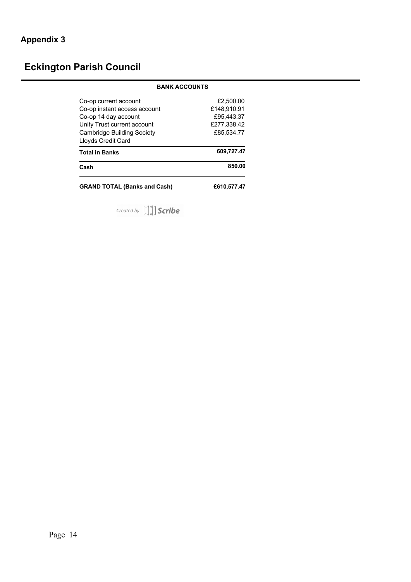# <span id="page-13-0"></span>**Eckington Parish Council**

| <b>BANK ACCOUNTS</b>                                                                                                                                             |                                                                     |
|------------------------------------------------------------------------------------------------------------------------------------------------------------------|---------------------------------------------------------------------|
| Co-op current account<br>Co-op instant access account<br>Co-op 14 day account<br>Unity Trust current account<br>Cambridge Building Society<br>Lloyds Credit Card | £2.500.00<br>£148.910.91<br>£95.443.37<br>£277.338.42<br>£85.534.77 |
| <b>Total in Banks</b>                                                                                                                                            | 609,727.47                                                          |
| Cash                                                                                                                                                             | 850.00                                                              |
| <b>GRAND TOTAL (Banks and Cash)</b>                                                                                                                              | £610.577.47                                                         |

Created by [1] Scribe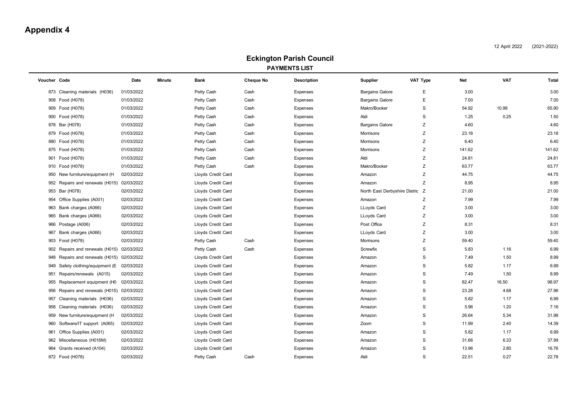## **Appendix 4**

April 2022 (2021-2022)

#### **Eckington Parish Council PAYMENTS LIST**

<span id="page-14-0"></span>

| Voucher Code |                                        | Date       | <b>Minute</b> | <b>Bank</b>        | <b>Cheque No</b> | <b>Description</b> | Supplier<br>VAT Type            | Net         | <b>VAT</b> | <b>Total</b> |
|--------------|----------------------------------------|------------|---------------|--------------------|------------------|--------------------|---------------------------------|-------------|------------|--------------|
|              | 873 Cleaning materials (H036)          | 01/03/2022 |               | Petty Cash         | Cash             | Expenses           | <b>Bargains Galore</b>          | E<br>3.00   |            | 3.00         |
|              | 908 Food (H078)                        | 01/03/2022 |               | Petty Cash         | Cash             | Expenses           | <b>Bargains Galore</b>          | 7.00<br>E   |            | 7.00         |
|              | 909 Food (H078)                        | 01/03/2022 |               | Petty Cash         | Cash             | <b>Expenses</b>    | Makro/Booker                    | S<br>54.92  | 10.98      | 65.90        |
|              | 900 Food (H078)                        | 01/03/2022 |               | Petty Cash         | Cash             | Expenses           | Aldi                            | S<br>1.25   | 0.25       | 1.50         |
|              | 878 Bar (H078)                         | 01/03/2022 |               | Petty Cash         | Cash             | Expenses           | <b>Bargains Galore</b>          | Z<br>4.60   |            | 4.60         |
|              | 879 Food (H078)                        | 01/03/2022 |               | Petty Cash         | Cash             | Expenses           | Morrisons                       | Ζ<br>23.18  |            | 23.18        |
|              | 880 Food (H078)                        | 01/03/2022 |               | Petty Cash         | Cash             | <b>Expenses</b>    | Morrisons                       | Ζ<br>6.40   |            | 6.40         |
|              | 875 Food (H078)                        | 01/03/2022 |               | Petty Cash         | Cash             | Expenses           | Morrisons                       | Ζ<br>141.62 |            | 141.62       |
|              | 901 Food (H078)                        | 01/03/2022 |               | Petty Cash         | Cash             | Expenses           | Aldi                            | Z<br>24.81  |            | 24.81        |
|              | 910 Food (H078)                        | 01/03/2022 |               | Petty Cash         | Cash             | Expenses           | Makro/Booker                    | Ζ<br>63.77  |            | 63.77        |
| 950          | New furniture/equipment (H)            | 02/03/2022 |               | Lloyds Credit Card |                  | Expenses           | Amazon                          | Ζ<br>44.75  |            | 44.75        |
| 952          | Repairs and renewals (H015) 02/03/2022 |            |               | Lloyds Credit Card |                  | Expenses           | Amazon                          | Ζ<br>8.95   |            | 8.95         |
| 953          | Bar (H078)                             | 02/03/2022 |               | Lloyds Credit Card |                  | Expenses           | North East Derbyshire Distric Z | 21.00       |            | 21.00        |
|              | 954 Office Supplies (A001)             | 02/03/2022 |               | Lloyds Credit Card |                  | Expenses           | Amazon                          | Ζ<br>7.99   |            | 7.99         |
|              | 963 Bank charges (A066)                | 02/03/2022 |               | Lloyds Credit Card |                  | Expenses           | LLoyds Card                     | Ζ<br>3.00   |            | 3.00         |
|              | 965 Bank charges (A066)                | 02/03/2022 |               | Lloyds Credit Card |                  | Expenses           | LLoyds Card                     | Z<br>3.00   |            | 3.00         |
| 966          | Postage (A006)                         | 02/03/2022 |               | Lloyds Credit Card |                  | Expenses           | Post Office                     | Z<br>8.31   |            | 8.31         |
| 967          | Bank charges (A066)                    | 02/03/2022 |               | Lloyds Credit Card |                  | Expenses           | LLoyds Card                     | Ζ<br>3.00   |            | 3.00         |
| 903          | Food (H078)                            | 02/03/2022 |               | Petty Cash         | Cash             | Expenses           | Morrisons                       | Ζ<br>59.40  |            | 59.40        |
| 902          | Repairs and renewals (H015)            | 02/03/2022 |               | Petty Cash         | Cash             | Expenses           | Screwfix                        | S<br>5.83   | 1.16       | 6.99         |
| 948          | Repairs and renewals (H015) 02/03/2022 |            |               | Lloyds Credit Card |                  | Expenses           | Amazon                          | S<br>7.49   | 1.50       | 8.99         |
|              | 949 Safety clothing/equipment (E       | 02/03/2022 |               | Lloyds Credit Card |                  | <b>Expenses</b>    | Amazon                          | 5.82<br>S   | 1.17       | 6.99         |
| 951          | Repairs/renewals (A015)                | 02/03/2022 |               | Lloyds Credit Card |                  | Expenses           | Amazon                          | S<br>7.49   | 1.50       | 8.99         |
| 955          | Replacement equipment (H0              | 02/03/2022 |               | Lloyds Credit Card |                  | Expenses           | Amazon                          | 82.47<br>S  | 16.50      | 98.97        |
| 956          | Repairs and renewals (H015) 02/03/2022 |            |               | Lloyds Credit Card |                  | Expenses           | Amazon                          | S<br>23.28  | 4.68       | 27.96        |
| 957          | Cleaning materials (H036)              | 02/03/2022 |               | Lloyds Credit Card |                  | Expenses           | Amazon                          | S<br>5.82   | 1.17       | 6.99         |
| 958          | Cleaning materials (H036)              | 02/03/2022 |               | Lloyds Credit Card |                  | Expenses           | Amazon                          | S<br>5.96   | 1.20       | 7.16         |
| 959          | New furniture/equipment (H)            | 02/03/2022 |               | Lloyds Credit Card |                  | Expenses           | Amazon                          | S<br>26.64  | 5.34       | 31.98        |
| 960          | Software/IT support (A065)             | 02/03/2022 |               | Lloyds Credit Card |                  | Expenses           | Zoom                            | S<br>11.99  | 2.40       | 14.39        |
| 961          | Office Supplies (A001)                 | 02/03/2022 |               | Lloyds Credit Card |                  | Expenses           | Amazon                          | S<br>5.82   | 1.17       | 6.99         |
|              | 962 Miscellaneous (H016M)              | 02/03/2022 |               | Lloyds Credit Card |                  | Expenses           | Amazon                          | S<br>31.66  | 6.33       | 37.99        |
| 964          | Grants received (A104)                 | 02/03/2022 |               | Lloyds Credit Card |                  | <b>Expenses</b>    | Amazon                          | S<br>13.96  | 2.80       | 16.76        |
|              | 872 Food (H078)                        | 02/03/2022 |               | Petty Cash         | Cash             | Expenses           | Aldi                            | S<br>22.51  | 0.27       | 22.78        |
|              |                                        |            |               |                    |                  |                    |                                 |             |            |              |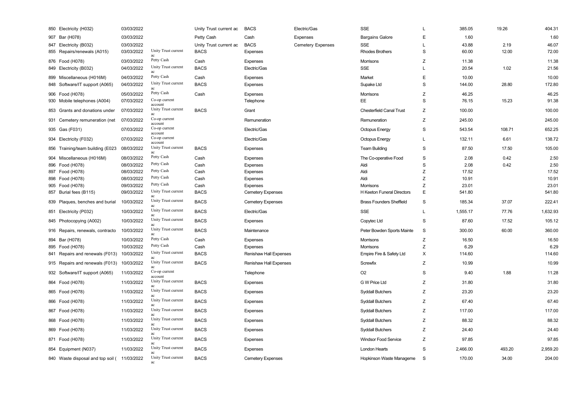| 850 Electricity (H032)            | 03/03/2022 |                            | Unity Trust current ac | <b>BACS</b>              | Electric/Gas             | <b>SSE</b>                      |             | 385.05   | 19.26  | 404.31   |
|-----------------------------------|------------|----------------------------|------------------------|--------------------------|--------------------------|---------------------------------|-------------|----------|--------|----------|
| 907 Bar (H078)                    | 03/03/2022 |                            | Petty Cash             | Cash                     | <b>Expenses</b>          | <b>Bargains Galore</b>          | E           | 1.60     |        | 1.60     |
| 847 Electricity (B032)            | 03/03/2022 |                            | Unity Trust current ac | <b>BACS</b>              | <b>Cemetery Expenses</b> | <b>SSE</b>                      | L           | 43.88    | 2.19   | 46.07    |
| 855 Repairs/renewals (A015)       | 03/03/2022 | Unity Trust current<br>ac  | <b>BACS</b>            | Expenses                 |                          | <b>Rhodes Brothers</b>          | S           | 60.00    | 12.00  | 72.00    |
| 876 Food (H078)                   | 03/03/2022 | Petty Cash                 | Cash                   | Expenses                 |                          | Morrisons                       | $\mathsf Z$ | 11.38    |        | 11.38    |
| 849 Electricity (B032)            | 04/03/2022 | Unity Trust current<br>ac  | <b>BACS</b>            | Electric/Gas             |                          | <b>SSE</b>                      | L           | 20.54    | 1.02   | 21.56    |
| 899 Miscellaneous (H016M)         | 04/03/2022 | Petty Cash                 | Cash                   | <b>Expenses</b>          |                          | Market                          | E           | 10.00    |        | 10.00    |
| 848 Software/IT support (A065)    | 04/03/2022 | Unity Trust current<br>ac  | <b>BACS</b>            | <b>Expenses</b>          |                          | Supake Ltd                      | S           | 144.00   | 28.80  | 172.80   |
| 906 Food (H078)                   | 05/03/2022 | Petty Cash                 | Cash                   | <b>Expenses</b>          |                          | Morrisons                       | Z           | 46.25    |        | 46.25    |
| 930 Mobile telephones (A004)      | 07/03/2022 | Co-op current<br>account   |                        | Telephone                |                          | EE                              | S           | 76.15    | 15.23  | 91.38    |
| 853 Grants and donations under    | 07/03/2022 | Unity Trust current<br>ac  | <b>BACS</b>            | Grant                    |                          | <b>Chesterfield Canal Trust</b> | Z           | 100.00   |        | 100.00   |
| 931 Cemetery remuneration (net    | 07/03/2022 | Co-op current<br>account   |                        | Remuneration             |                          | Remuneration                    | Z           | 245.00   |        | 245.00   |
| 935 Gas (F031)                    | 07/03/2022 | Co-op current<br>account   |                        | Electric/Gas             |                          | <b>Octopus Energy</b>           | S           | 543.54   | 108.71 | 652.25   |
| 934 Electricity (F032)            | 07/03/2022 | Co-op current<br>account   |                        | Electric/Gas             |                          | <b>Octopus Energy</b>           | L           | 132.11   | 6.61   | 138.72   |
| 856 Training/team building (E023  | 08/03/2022 | Unity Trust current<br>ac  | <b>BACS</b>            | <b>Expenses</b>          |                          | <b>Team Building</b>            | $\mathbb S$ | 87.50    | 17.50  | 105.00   |
| 904 Miscellaneous (H016M)         | 08/03/2022 | Petty Cash                 | Cash                   | <b>Expenses</b>          |                          | The Co-operative Food           | $\mathbb S$ | 2.08     | 0.42   | 2.50     |
| 896 Food (H078)                   | 08/03/2022 | Petty Cash                 | Cash                   | Expenses                 |                          | Aldi                            | $\mathbf S$ | 2.08     | 0.42   | 2.50     |
| 897 Food (H078)                   | 08/03/2022 | Petty Cash                 | Cash                   | <b>Expenses</b>          |                          | Aldi                            | Z           | 17.52    |        | 17.52    |
| 898 Food (H078)                   | 08/03/2022 | Petty Cash                 | Cash                   | <b>Expenses</b>          |                          | Aldi                            | Z           | 10.91    |        | 10.91    |
| 905 Food (H078)                   | 09/03/2022 | Petty Cash                 | Cash                   | Expenses                 |                          | Morrisons                       | Z           | 23.01    |        | 23.01    |
| 857 Burial fees (B115)            | 09/03/2022 | Unity Trust current<br>ac  | <b>BACS</b>            | <b>Cemetery Expenses</b> |                          | H Keeton Funeral Directors      | E           | 541.80   |        | 541.80   |
| 839 Plaques, benches and burial   | 10/03/2022 | Unity Trust current<br>ac  | <b>BACS</b>            | <b>Cemetery Expenses</b> |                          | <b>Brass Founders Sheffield</b> | S           | 185.34   | 37.07  | 222.41   |
| 851 Electricity (P032)            | 10/03/2022 | Unity Trust current        | <b>BACS</b>            | Electric/Gas             |                          | <b>SSE</b>                      |             | 1,555.17 | 77.76  | 1,632.93 |
| 845 Photocopying (A002)           | 10/03/2022 | Unity Trust current        | <b>BACS</b>            | <b>Expenses</b>          |                          | Copytec Ltd                     | S           | 87.60    | 17.52  | 105.12   |
| 916 Repairs, renewals, contracto  | 10/03/2022 | Unity Trust current<br>ac  | <b>BACS</b>            | Maintenance              |                          | Peter Bowden Sports Mainte      | S           | 300.00   | 60.00  | 360.00   |
| 894 Bar (H078)                    | 10/03/2022 | Petty Cash                 | Cash                   | <b>Expenses</b>          |                          | Morrisons                       | Z           | 16.50    |        | 16.50    |
| 895 Food (H078)                   | 10/03/2022 | Petty Cash                 | Cash                   | <b>Expenses</b>          |                          | Morrisons                       | Z           | 6.29     |        | 6.29     |
| 841 Repairs and renewals (F013)   | 10/03/2022 | Unity Trust current<br>ac. | <b>BACS</b>            | Renishaw Hall Expenses   |                          | Empire Fire & Safety Ltd        | X           | 114.60   |        | 114.60   |
| 915 Repairs and renewals (F013)   | 10/03/2022 | Unity Trust current<br>ac  | <b>BACS</b>            | Renishaw Hall Expenses   |                          | Screwfix                        | Ζ           | 10.99    |        | 10.99    |
| 932 Software/IT support (A065)    | 11/03/2022 | Co-op current<br>account   |                        | Telephone                |                          | O <sub>2</sub>                  | S           | 9.40     | 1.88   | 11.28    |
| 864 Food (H078)                   | 11/03/2022 | Unity Trust current<br>ac  | <b>BACS</b>            | <b>Expenses</b>          |                          | G W Price Ltd                   | Z           | 31.80    |        | 31.80    |
| 865 Food (H078)                   | 11/03/2022 | Unity Trust current<br>ac  | <b>BACS</b>            | <b>Expenses</b>          |                          | <b>Syddall Butchers</b>         | Z           | 23.20    |        | 23.20    |
| 866 Food (H078)                   | 11/03/2022 | Unity Trust current        | <b>BACS</b>            | <b>Expenses</b>          |                          | <b>Syddall Butchers</b>         | Z           | 67.40    |        | 67.40    |
| 867 Food (H078)                   | 11/03/2022 | Unity Trust current        | <b>BACS</b>            | <b>Expenses</b>          |                          | <b>Syddall Butchers</b>         | Z           | 117.00   |        | 117.00   |
| 868 Food (H078)                   | 11/03/2022 | Unity Trust current<br>ac  | <b>BACS</b>            | <b>Expenses</b>          |                          | <b>Syddall Butchers</b>         | Z           | 88.32    |        | 88.32    |
| 869 Food (H078)                   | 11/03/2022 | Unity Trust current<br>ac  | <b>BACS</b>            | <b>Expenses</b>          |                          | <b>Syddall Butchers</b>         | Ζ           | 24.40    |        | 24.40    |
| 871 Food (H078)                   | 11/03/2022 | Unity Trust current<br>ac  | <b>BACS</b>            | <b>Expenses</b>          |                          | <b>Windsor Food Service</b>     | Z           | 97.85    |        | 97.85    |
| 854 Equipment (N037)              | 11/03/2022 | Unity Trust current<br>ac  | <b>BACS</b>            | <b>Expenses</b>          |                          | <b>London Hearts</b>            | S           | 2,466.00 | 493.20 | 2,959.20 |
| 840 Waste disposal and top soil ( | 11/03/2022 | Unity Trust current<br>ac  | <b>BACS</b>            | <b>Cemetery Expenses</b> |                          | Hopkinson Waste Manageme        | S           | 170.00   | 34.00  | 204.00   |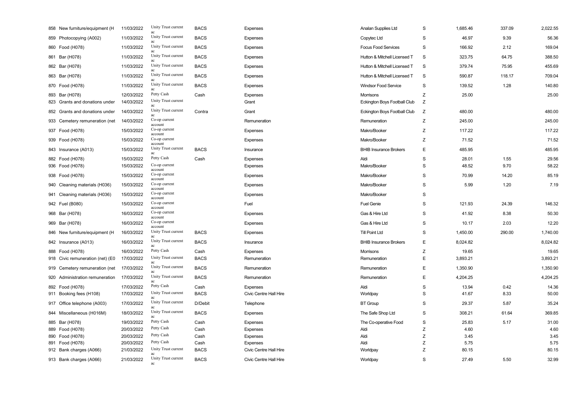| 858 New furniture/equipment (H   | 11/03/2022 | Unity Trust current<br>ac       | <b>BACS</b> | Expenses               | Analan Supplies Ltd           | $\mathbf S$ | 1,685.46 | 337.09 | 2,022.55 |
|----------------------------------|------------|---------------------------------|-------------|------------------------|-------------------------------|-------------|----------|--------|----------|
| 859 Photocopying (A002)          | 11/03/2022 | Unity Trust current<br>ac       | <b>BACS</b> | Expenses               | Copytec Ltd                   | S           | 46.97    | 9.39   | 56.36    |
| 860 Food (H078)                  | 11/03/2022 | Unity Trust current<br>ac       | <b>BACS</b> | Expenses               | <b>Focus Food Services</b>    | S           | 166.92   | 2.12   | 169.04   |
| 861 Bar (H078)                   | 11/03/2022 | Unity Trust current             | <b>BACS</b> | Expenses               | Hutton & Mitchell Licensed T  | S           | 323.75   | 64.75  | 388.50   |
| 862 Bar (H078)                   | 11/03/2022 | Unity Trust current<br>ac       | <b>BACS</b> | Expenses               | Hutton & Mitchell Licensed T  | $\mathsf S$ | 379.74   | 75.95  | 455.69   |
| 863 Bar (H078)                   | 11/03/2022 | Unity Trust current<br>ac       | <b>BACS</b> | Expenses               | Hutton & Mitchell Licensed T  | S           | 590.87   | 118.17 | 709.04   |
| 870 Food (H078)                  | 11/03/2022 | Unity Trust current<br>ac       | <b>BACS</b> | Expenses               | <b>Windsor Food Service</b>   | S           | 139.52   | 1.28   | 140.80   |
| 893 Bar (H078)                   | 12/03/2022 | Petty Cash                      | Cash        | Expenses               | Morrisons                     | Z           | 25.00    |        | 25.00    |
| 823 Grants and donations under   | 14/03/2022 | Unity Trust current<br>ac       |             | Grant                  | Eckington Boys Football Club  | Z           |          |        |          |
| 852 Grants and donations under   | 14/03/2022 | Unity Trust current<br>ac       | Contra      | Grant                  | Eckington Boys Football Club  | Z           | 480.00   |        | 480.00   |
| 933 Cemetery remuneration (net   | 14/03/2022 | Co-op current<br>account        |             | Remuneration           | Remuneration                  | Z           | 245.00   |        | 245.00   |
| 937 Food (H078)                  | 15/03/2022 | Co-op current<br>account        |             | Expenses               | Makro/Booker                  | Z           | 117.22   |        | 117.22   |
| 939 Food (H078)                  | 15/03/2022 | Co-op current<br>account        |             | Expenses               | Makro/Booker                  | Ζ           | 71.52    |        | 71.52    |
| 843 Insurance (A013)             | 15/03/2022 | Unity Trust current<br>ac       | <b>BACS</b> | Insurance              | <b>BHIB Insurance Brokers</b> | E           | 485.95   |        | 485.95   |
| 882 Food (H078)                  | 15/03/2022 | Petty Cash                      | Cash        | Expenses               | Aldi                          | $\mathbb S$ | 28.01    | 1.55   | 29.56    |
| 936 Food (H078)                  | 15/03/2022 | Co-op current<br>account        |             | Expenses               | Makro/Booker                  | S           | 48.52    | 9.70   | 58.22    |
| 938 Food (H078)                  | 15/03/2022 | Co-op current<br>account        |             | Expenses               | Makro/Booker                  | S           | 70.99    | 14.20  | 85.19    |
| 940 Cleaning materials (H036)    | 15/03/2022 | Co-op current<br>account        |             | Expenses               | Makro/Booker                  | $\mathbb S$ | 5.99     | 1.20   | 7.19     |
| 941 Cleaning materials (H036)    | 15/03/2022 | Co-op current<br>account        |             | Expenses               | Makro/Booker                  | S           |          |        |          |
| 942 Fuel (B080)                  | 15/03/2022 | Co-op current<br>account        |             | Fuel                   | <b>Fuel Genie</b>             | S           | 121.93   | 24.39  | 146.32   |
| 968 Bar (H078)                   | 16/03/2022 | Co-op current<br>account        |             | Expenses               | Gas & Hire Ltd                | S           | 41.92    | 8.38   | 50.30    |
| 969 Bar (H078)                   | 16/03/2022 | Co-op current<br>account        |             | Expenses               | Gas & Hire Ltd                | S           | 10.17    | 2.03   | 12.20    |
| 846 New furniture/equipment (H   | 16/03/2022 | Unity Trust current<br>ac       | <b>BACS</b> | Expenses               | <b>Till Point Ltd</b>         | S           | 1,450.00 | 290.00 | 1,740.00 |
| 842 Insurance (A013)             | 16/03/2022 | Unity Trust current<br>$\rm ac$ | <b>BACS</b> | Insurance              | <b>BHIB Insurance Brokers</b> | E           | 8,024.82 |        | 8,024.82 |
| 888 Food (H078)                  | 16/03/2022 | Petty Cash                      | Cash        | Expenses               | Morrisons                     | Z           | 19.65    |        | 19.65    |
| 918 Civic remuneration (net) (E0 | 17/03/2022 | Unity Trust current<br>ac       | <b>BACS</b> | Remuneration           | Remuneration                  | E           | 3,893.21 |        | 3,893.21 |
| 919 Cemetery remuneration (net   | 17/03/2022 | Unity Trust current<br>ac       | <b>BACS</b> | Remuneration           | Remuneration                  | E           | 1,350.90 |        | 1,350.90 |
| 920 Administration remuneration  | 17/03/2022 | Unity Trust current<br>ac       | <b>BACS</b> | Remuneration           | Remuneration                  | E           | 4,204.25 |        | 4,204.25 |
| 892 Food (H078)                  | 17/03/2022 | Petty Cash                      | Cash        | Expenses               | Aldi                          | S           | 13.94    | 0.42   | 14.36    |
| 911 Booking fees (H108)          | 17/03/2022 | Unity Trust current<br>ac       | <b>BACS</b> | Civic Centre Hall Hire | Worldpay                      | S           | 41.67    | 8.33   | 50.00    |
| 917 Office telephone (A003)      | 17/03/2022 | Unity Trust current<br>ac       | D/Debit     | Telephone              | <b>BT Group</b>               | S           | 29.37    | 5.87   | 35.24    |
| 844 Miscellaneous (H016M)        | 18/03/2022 | Unity Trust current<br>ac       | <b>BACS</b> | Expenses               | The Safe Shop Ltd             | S           | 308.21   | 61.64  | 369.85   |
| 885 Bar (H078)                   | 19/03/2022 | Petty Cash                      | Cash        | Expenses               | The Co-operative Food         | S           | 25.83    | 5.17   | 31.00    |
| 889 Food (H078)                  | 20/03/2022 | Petty Cash                      | Cash        | Expenses               | Aldi                          | $\mathsf Z$ | 4.60     |        | 4.60     |
| 890 Food (H078)                  | 20/03/2022 | Petty Cash                      | Cash        | Expenses               | Aldi                          | $\mathsf Z$ | 3.45     |        | 3.45     |
| 891 Food (H078)                  | 20/03/2022 | Petty Cash                      | Cash        | Expenses               | Aldi                          | $\mathsf Z$ | 5.75     |        | 5.75     |
| 912 Bank charges (A066)          | 21/03/2022 | Unity Trust current<br>ac       | <b>BACS</b> | Civic Centre Hall Hire | Worldpay                      | $\mathsf Z$ | 80.15    |        | 80.15    |
| 913 Bank charges (A066)          | 21/03/2022 | Unity Trust current<br>ac       | <b>BACS</b> | Civic Centre Hall Hire | Worldpay                      | S           | 27.49    | 5.50   | 32.99    |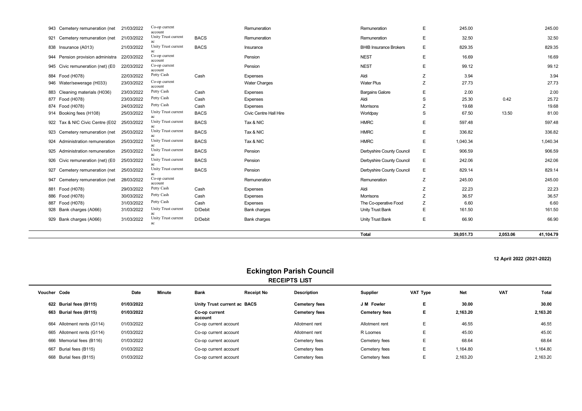|                                   |            |                           |             |                        | <b>Total</b>                  |   | 39,051.73 | 2,053.06 | 41,104.79 |
|-----------------------------------|------------|---------------------------|-------------|------------------------|-------------------------------|---|-----------|----------|-----------|
| 929 Bank charges (A066)           | 31/03/2022 | Unity Trust current<br>ac | D/Debit     | Bank charges           | Unity Trust Bank              | Е | 66.90     |          | 66.90     |
| 928 Bank charges (A066)           | 31/03/2022 | Unity Trust current       | D/Debit     | Bank charges           | Unity Trust Bank              | E | 161.50    |          | 161.50    |
| 887 Food (H078)                   | 31/03/2022 | Petty Cash                | Cash        | Expenses               | The Co-operative Food         | Z | 6.60      |          | 6.60      |
| 886 Food (H078)                   | 30/03/2022 | Petty Cash                | Cash        | Expenses               | Morrisons                     | Z | 36.57     |          | 36.57     |
| 881 Food (H078)                   | 29/03/2022 | Petty Cash                | Cash        | <b>Expenses</b>        | Aldi                          | Z | 22.23     |          | 22.23     |
| 947 Cemetery remuneration (net    | 28/03/2022 | Co-op current<br>account  |             | Remuneration           | Remuneration                  | Z | 245.00    |          | 245.00    |
| 927 Cemetery remuneration (net    | 25/03/2022 | Unity Trust current       | <b>BACS</b> | Pension                | Derbyshire County Council     | Е | 829.14    |          | 829.14    |
| 926 Civic remuneration (net) (E0  | 25/03/2022 | Unity Trust current       | <b>BACS</b> | Pension                | Derbyshire County Council     | Е | 242.06    |          | 242.06    |
| 925 Administration remuneration   | 25/03/2022 | ac                        | <b>BACS</b> | Pension                | Derbyshire County Council     | Е | 906.59    |          | 906.59    |
| 924 Administration remuneration   | 25/03/2022 | Unity Trust current       | <b>BACS</b> | Tax & NIC              | <b>HMRC</b>                   | Е | 1,040.34  |          | 1,040.34  |
|                                   |            | Unity Trust current       |             |                        |                               |   |           |          |           |
| 923 Cemetery remuneration (net    | 25/03/2022 | Unity Trust current       | <b>BACS</b> | Tax & NIC              | <b>HMRC</b>                   | E | 336.82    |          | 336.82    |
| 922 Tax & NIC Civic Centre (E02   | 25/03/2022 | Unity Trust current       | <b>BACS</b> | Tax & NIC              | <b>HMRC</b>                   | E | 597.48    |          | 597.48    |
| 914 Booking fees (H108)           | 25/03/2022 | Unity Trust current       | <b>BACS</b> | Civic Centre Hall Hire | Worldpay                      | S | 67.50     | 13.50    | 81.00     |
| 874 Food (H078)                   | 24/03/2022 | Petty Cash                | Cash        | Expenses               | <b>Morrisons</b>              | Z | 19.68     |          | 19.68     |
| 877 Food (H078)                   | 23/03/2022 | Petty Cash                | Cash        | Expenses               | Aldi                          | S | 25.30     | 0.42     | 25.72     |
| 883 Cleaning materials (H036)     | 23/03/2022 | account<br>Petty Cash     | Cash        | <b>Expenses</b>        | <b>Bargains Galore</b>        | E | 2.00      |          | 2.00      |
| 946 Water/sewerage (H033)         | 23/03/2022 | Co-op current             |             | <b>Water Charges</b>   | <b>Water Plus</b>             | Z | 27.73     |          | 27.73     |
| 884 Food (H078)                   | 22/03/2022 | account<br>Petty Cash     | Cash        | Expenses               | Aldi                          | Z | 3.94      |          | 3.94      |
| 945 Civic remuneration (net) (E0  | 22/03/2022 | Co-op current             |             | Pension                | <b>NEST</b>                   | E | 99.12     |          | 99.12     |
| 944 Pension provision administra  | 22/03/2022 | Co-op current<br>account  |             | Pension                | <b>NEST</b>                   | E | 16.69     |          | 16.69     |
| 838 Insurance (A013)              | 21/03/2022 | Unity Trust current       | <b>BACS</b> | Insurance              | <b>BHIB Insurance Brokers</b> | E | 829.35    |          | 829.35    |
| Cemetery remuneration (net<br>921 | 21/03/2022 | Unity Trust current<br>ac | <b>BACS</b> | Remuneration           | Remuneration                  | E | 32.50     |          | 32.50     |
| 943 Cemetery remuneration (net    | 21/03/2022 | Co-op current<br>account  |             | Remuneration           | Remuneration                  | E | 245.00    |          | 245.00    |

#### **12 April 2022 (2021-2022)**

#### **Eckington Parish Council RECEIPTS LIST**

| Voucher Code |                            | Date       | <b>Minute</b> | <b>Bank</b>              | <b>Receipt No</b>           | <b>Description</b>   | Supplier             | <b>VAT Type</b> | <b>Net</b> | <b>VAT</b> | Total    |
|--------------|----------------------------|------------|---------------|--------------------------|-----------------------------|----------------------|----------------------|-----------------|------------|------------|----------|
|              | 622 Burial fees (B115)     | 01/03/2022 |               |                          | Unity Trust current ac BACS | <b>Cemetery fees</b> | J M Fowler           | Ε.              | 30.00      |            | 30.00    |
|              | 663 Burial fees (B115)     | 01/03/2022 |               | Co-op current<br>account |                             | <b>Cemetery fees</b> | <b>Cemetery fees</b> | Е.              | 2.163.20   |            | 2,163.20 |
|              | 664 Allotment rents (G114) | 01/03/2022 |               | Co-op current account    |                             | Allotment rent       | Allotment rent       | E               | 46.55      |            | 46.55    |
|              | 665 Allotment rents (G114) | 01/03/2022 |               | Co-op current account    |                             | Allotment rent       | R Loomes             | E               | 45.00      |            | 45.00    |
|              | 666 Memorial fees (B116)   | 01/03/2022 |               | Co-op current account    |                             | Cemetery fees        | Cemetery fees        | Е               | 68.64      |            | 68.64    |
|              | 667 Burial fees (B115)     | 01/03/2022 |               | Co-op current account    |                             | Cemetery fees        | Cemetery fees        | E               | 1.164.80   |            | 1,164.80 |
|              | 668 Burial fees (B115)     | 01/03/2022 |               | Co-op current account    |                             | Cemetery fees        | Cemetery fees        | E               | 2,163.20   |            | 2,163.20 |
|              |                            |            |               |                          |                             |                      |                      |                 |            |            |          |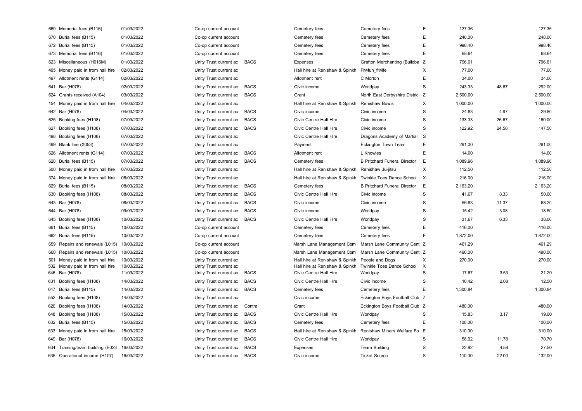| 669 Memorial fees (B116)                           | 01/03/2022               | Co-op current account                            |             | Cemetery fees                                            | Cemetery fees                         | E        | 127.36   |       | 127.36   |
|----------------------------------------------------|--------------------------|--------------------------------------------------|-------------|----------------------------------------------------------|---------------------------------------|----------|----------|-------|----------|
| 670 Burial fees (B115)                             | 01/03/2022               | Co-op current account                            |             | Cemetery fees                                            | Cemetery fees                         | E        | 248.00   |       | 248.00   |
| 672 Burial fees (B115)                             | 01/03/2022               | Co-op current account                            |             | Cemetery fees                                            | Cemetery fees                         | E        | 998.40   |       | 998.40   |
| 673 Memorial fees (B116)                           | 01/03/2022               | Co-op current account                            |             | Cemetery fees                                            | Cemetery fees                         | E        | 68.64    |       | 68.64    |
| 623 Miscellaneous (H016M)                          | 01/03/2022               | Unity Trust current ac                           | <b>BACS</b> | <b>Expenses</b>                                          | Grafton Merchanting (Buildba Z        |          | 796.61   |       | 796.61   |
| 495 Money paid in from hall hire                   | 02/03/2022               | Unity Trust current ac                           |             | Hall hire at Renishaw & Spinkh                           | Fit4fun fit4ife                       | X        | 77.00    |       | 77.00    |
| 497 Allotment rents (G114)                         | 02/03/2022               | Unity Trust current ac                           |             | Allotment rent                                           | C Morton                              | E        | 34.00    |       | 34.00    |
| 641 Bar (H078)                                     | 02/03/2022               | Unity Trust current ac                           | <b>BACS</b> | Civic income                                             | Worldpay                              | S        | 243.33   | 48.67 | 292.00   |
| 624 Grants received (A104)                         | 03/03/2022               | Unity Trust current ac                           | <b>BACS</b> | Grant                                                    | North East Derbyshire Distric Z       |          | 2,500.00 |       | 2,500.00 |
| 154 Money paid in from hall hire                   | 04/03/2022               | Unity Trust current ac                           |             | Hall hire at Renishaw & Spinkh                           | <b>Renishaw Bowls</b>                 | X        | 1,000.00 |       | 1,000.00 |
| 642 Bar (H078)                                     | 04/03/2022               | Unity Trust current ac                           | <b>BACS</b> | Civic income                                             | Civic income                          | S        | 24.83    | 4.97  | 29.80    |
| 625 Booking fees (H108)                            | 07/03/2022               | Unity Trust current ac                           | <b>BACS</b> | Civic Centre Hall Hire                                   | Civic income                          | S        | 133.33   | 26.67 | 160.00   |
| 627 Booking fees (H108)                            | 07/03/2022               | Unity Trust current ac                           | <b>BACS</b> | Civic Centre Hall Hire                                   | Civic income                          | S        | 122.92   | 24.58 | 147.50   |
| 498 Booking fees (H108)                            | 07/03/2022               | Unity Trust current ac                           |             | Civic Centre Hall Hire                                   | Dragons Academy of Martial            | S        |          |       |          |
| 499 Blank line (X053)                              | 07/03/2022               | Unity Trust current ac                           |             | Payment                                                  | Eckington Town Team                   | E        | 261.00   |       | 261.00   |
| 626 Allotment rents (G114)                         | 07/03/2022               | Unity Trust current ac                           | <b>BACS</b> | Allotment rent                                           | L Knowles                             | E        | 14.00    |       | 14.00    |
| 628 Burial fees (B115)                             | 07/03/2022               | Unity Trust current ac                           | <b>BACS</b> | Cemetery fees                                            | <b>B Pritchard Funeral Director</b>   | E        | 1,089.96 |       | 1,089.96 |
| 500 Money paid in from hall hire                   | 07/03/2022               | Unity Trust current ac                           |             | Hall hire at Renishaw & Spinkh                           | Renishaw Ju-jitsu                     | X        | 112.50   |       | 112.50   |
| 374 Money paid in from hall hire                   | 08/03/2022               | Unity Trust current ac                           |             | Hall hire at Renishaw & Spinkh                           | Twinkle Toes Dance School             | $\times$ | 216.00   |       | 216.00   |
| 629 Burial fees (B115)                             | 08/03/2022               | Unity Trust current ac                           | <b>BACS</b> | Cemetery fees                                            | <b>B Pritchard Funeral Director</b>   | E        | 2,163.20 |       | 2,163.20 |
| 630 Booking fees (H108)                            | 08/03/2022               | Unity Trust current ac                           | <b>BACS</b> | <b>Civic Centre Hall Hire</b>                            | Civic income                          | S        | 41.67    | 8.33  | 50.00    |
| 643 Bar (H078)                                     | 08/03/2022               | Unity Trust current ac                           | <b>BACS</b> | Civic income                                             | Civic income                          | S        | 56.83    | 11.37 | 68.20    |
| 644 Bar (H078)                                     | 09/03/2022               | Unity Trust current ac                           | <b>BACS</b> | Civic income                                             | Worldpay                              | S        | 15.42    | 3.08  | 18.50    |
| 645 Booking fees (H108)                            | 10/03/2022               | Unity Trust current ac                           | <b>BACS</b> | Civic Centre Hall Hire                                   | Worldpay                              | S        | 31.67    | 6.33  | 38.00    |
| 661 Burial fees (B115)                             | 10/03/2022               | Co-op current account                            |             | Cemetery fees                                            | Cemetery fees                         | E        | 416.00   |       | 416.00   |
| 662 Burial fees (B115)                             | 10/03/2022               | Co-op current account                            |             | Cemetery fees                                            | Cemetery fees                         | E        | 1,872.00 |       | 1,872.00 |
| 659 Repairs and renewals (L015)                    | 10/03/2022               | Co-op current account                            |             | Marsh Lane Management Com                                | Marsh Lane Community Cent Z           |          | 461.29   |       | 461.29   |
| 660 Repairs and renewals (L015)                    | 10/03/2022               | Co-op current account                            |             | Marsh Lane Management Com                                | Marsh Lane Community Cent Z           |          | 490.00   |       | 490.00   |
| 501 Money paid in from hall hire                   | 10/03/2022               | Unity Trust current ac                           |             | Hall hire at Renishaw & Spinkh                           | People and Dogs                       | X        | 270.00   |       | 270.00   |
| 502 Money paid in from hall hire<br>646 Bar (H078) | 10/03/2022<br>11/03/2022 | Unity Trust current ac<br>Unity Trust current ac | <b>BACS</b> | Hall hire at Renishaw & Spinkh<br>Civic Centre Hall Hire | Twinkle Toes Dance School<br>Worldpay | X<br>S   | 17.67    | 3.53  | 21.20    |
| 631 Booking fees (H108)                            | 14/03/2022               | Unity Trust current ac                           | <b>BACS</b> | Civic Centre Hall Hire                                   | Civic income                          | S        | 10.42    | 2.08  | 12.50    |
| 647 Burial fees (B115)                             | 14/03/2022               | Unity Trust current ac                           | <b>BACS</b> | Cemetery fees                                            | Cemetery fees                         | E        | 1,300.84 |       | 1,300.84 |
| 552 Booking fees (H108)                            | 14/03/2022               | Unity Trust current ac                           |             | Civic income                                             | Eckington Boys Football Club Z        |          |          |       |          |
| 620 Booking fees (H108)                            | 14/03/2022               | Unity Trust current ac                           | Contra      | Grant                                                    | Eckington Boys Football Club Z        |          | 480.00   |       | 480.00   |
| 648 Booking fees (H108)                            | 15/03/2022               | Unity Trust current ac                           | <b>BACS</b> | Civic Centre Hall Hire                                   | Worldpay                              | S        | 15.83    | 3.17  | 19.00    |
| 632 Burial fees (B115)                             | 15/03/2022               | Unity Trust current ac                           | <b>BACS</b> | Cemetery fees                                            | Cemetery fees                         | E        | 100.00   |       | 100.00   |
| 633 Money paid in from hall hire                   | 15/03/2022               | Unity Trust current ac                           | <b>BACS</b> | Hall hire at Renishaw & Spinkh                           | Renishaw Miners Welfare Fo            | E        | 310.00   |       | 310.00   |
| 649 Bar (H078)                                     | 16/03/2022               | Unity Trust current ac                           | <b>BACS</b> | <b>Civic Centre Hall Hire</b>                            | Worldpay                              | S        | 58.92    | 11.78 | 70.70    |
| 634 Training/team building (E023                   | 16/03/2022               | Unity Trust current ac                           | <b>BACS</b> | Expenses                                                 | <b>Team Building</b>                  | S        | 22.92    | 4.58  | 27.50    |
| 635 Operational income (H107)                      | 16/03/2022               | Unity Trust current ac                           | <b>BACS</b> | Civic income                                             | <b>Ticket Source</b>                  | S        | 110.00   | 22.00 | 132.00   |
|                                                    |                          |                                                  |             |                                                          |                                       |          |          |       |          |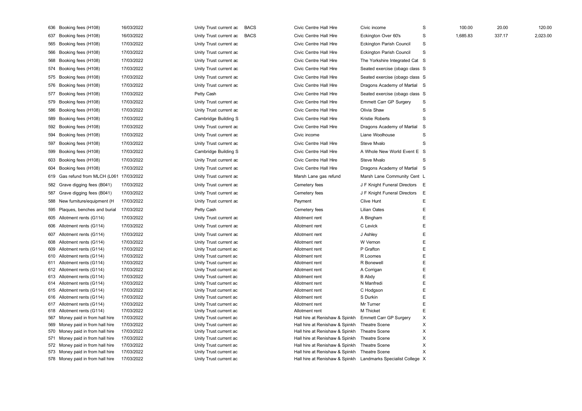| 636 Booking fees (H108)                                              | 16/03/2022               | Unity Trust current ac                           | <b>BACS</b> | Civic Centre Hall Hire                                                         | Civic income                                 | $\mathbf S$ | 100.00   | 20.00  | 120.00   |
|----------------------------------------------------------------------|--------------------------|--------------------------------------------------|-------------|--------------------------------------------------------------------------------|----------------------------------------------|-------------|----------|--------|----------|
| 637 Booking fees (H108)                                              | 16/03/2022               | Unity Trust current ac                           | <b>BACS</b> | Civic Centre Hall Hire                                                         | Eckington Over 60's                          | $\mathbf S$ | 1,685.83 | 337.17 | 2,023.00 |
| 565 Booking fees (H108)                                              | 17/03/2022               | Unity Trust current ac                           |             | Civic Centre Hall Hire                                                         | Eckington Parish Council                     | S           |          |        |          |
| 566 Booking fees (H108)                                              | 17/03/2022               | Unity Trust current ac                           |             | Civic Centre Hall Hire                                                         | Eckington Parish Council                     | S           |          |        |          |
| 568 Booking fees (H108)                                              | 17/03/2022               | Unity Trust current ac                           |             | Civic Centre Hall Hire                                                         | The Yorkshire Integrated Cat S               |             |          |        |          |
| 574 Booking fees (H108)                                              | 17/03/2022               | Unity Trust current ac                           |             | Civic Centre Hall Hire                                                         | Seated exercise (obago class S               |             |          |        |          |
| 575 Booking fees (H108)                                              | 17/03/2022               | Unity Trust current ac                           |             | Civic Centre Hall Hire                                                         | Seated exercise (obago class S               |             |          |        |          |
| 576 Booking fees (H108)                                              | 17/03/2022               | Unity Trust current ac                           |             | Civic Centre Hall Hire                                                         | Dragons Academy of Martial S                 |             |          |        |          |
| 577 Booking fees (H108)                                              | 17/03/2022               | Petty Cash                                       |             | Civic Centre Hall Hire                                                         | Seated exercise (obago class S               |             |          |        |          |
| 579 Booking fees (H108)                                              | 17/03/2022               | Unity Trust current ac                           |             | Civic Centre Hall Hire                                                         | <b>Emmett Carr GP Surgery</b>                | $\mathbf S$ |          |        |          |
|                                                                      |                          |                                                  |             |                                                                                |                                              | $\mathbf S$ |          |        |          |
| 586 Booking fees (H108)                                              | 17/03/2022               | Unity Trust current ac                           |             | Civic Centre Hall Hire                                                         | Olivia Shaw                                  |             |          |        |          |
| 589 Booking fees (H108)                                              | 17/03/2022               | Cambridge Building S                             |             | Civic Centre Hall Hire                                                         | Kristie Roberts                              | S           |          |        |          |
| 592 Booking fees (H108)                                              | 17/03/2022               | Unity Trust current ac                           |             | Civic Centre Hall Hire                                                         | Dragons Academy of Martial                   | S           |          |        |          |
| 594 Booking fees (H108)                                              | 17/03/2022               | Unity Trust current ac                           |             | Civic income                                                                   | Liane Woolhouse                              | $\mathbf S$ |          |        |          |
| 597 Booking fees (H108)                                              | 17/03/2022               | Unity Trust current ac                           |             | Civic Centre Hall Hire                                                         | Steve Mvalo                                  | S           |          |        |          |
| 599 Booking fees (H108)                                              | 17/03/2022               | Cambridge Building S                             |             | Civic Centre Hall Hire                                                         | A Whole New World Event E S                  |             |          |        |          |
| 603 Booking fees (H108)                                              | 17/03/2022               | Unity Trust current ac                           |             | Civic Centre Hall Hire                                                         | Steve Mvalo                                  | S           |          |        |          |
| 604 Booking fees (H108)                                              | 17/03/2022               | Unity Trust current ac                           |             | Civic Centre Hall Hire                                                         | Dragons Academy of Martial S                 |             |          |        |          |
| 619 Gas refund from MLCH (L061                                       | 17/03/2022               | Unity Trust current ac                           |             | Marsh Lane gas refund                                                          | Marsh Lane Community Cent L                  |             |          |        |          |
| 582 Grave digging fees (B041)                                        | 17/03/2022               | Unity Trust current ac                           |             | Cemetery fees                                                                  | J F Knight Funeral Directors                 | E           |          |        |          |
| 587 Grave digging fees (B041)                                        | 17/03/2022               | Unity Trust current ac                           |             | Cemetery fees                                                                  | J F Knight Funeral Directors                 | E           |          |        |          |
| 588 New furniture/equipment (H                                       | 17/03/2022               | Unity Trust current ac                           |             | Payment                                                                        | Clive Hunt                                   | E           |          |        |          |
| 595 Plaques, benches and burial                                      | 17/03/2022               | Petty Cash                                       |             | Cemetery fees                                                                  | <b>Lilian Oates</b>                          | E           |          |        |          |
| 605 Allotment rents (G114)                                           | 17/03/2022               | Unity Trust current ac                           |             | Allotment rent                                                                 | A Bingham                                    | E           |          |        |          |
| 606 Allotment rents (G114)                                           | 17/03/2022               | Unity Trust current ac                           |             | Allotment rent                                                                 | C Levick                                     | E           |          |        |          |
| 607 Allotment rents (G114)                                           | 17/03/2022               | Unity Trust current ac                           |             | Allotment rent                                                                 | J Ashley                                     | E           |          |        |          |
| 608 Allotment rents (G114)                                           | 17/03/2022               | Unity Trust current ac                           |             | Allotment rent                                                                 | W Vernon                                     | E           |          |        |          |
| 609 Allotment rents (G114)                                           | 17/03/2022               | Unity Trust current ac                           |             | Allotment rent                                                                 | P Grafton                                    | E           |          |        |          |
| 610 Allotment rents (G114)                                           | 17/03/2022               | Unity Trust current ac                           |             | Allotment rent                                                                 | R Loomes                                     | E           |          |        |          |
| 611 Allotment rents (G114)                                           | 17/03/2022               | Unity Trust current ac                           |             | Allotment rent                                                                 | R Bonewell                                   | E           |          |        |          |
| 612 Allotment rents (G114)                                           | 17/03/2022               | Unity Trust current ac                           |             | Allotment rent                                                                 | A Corrigan                                   | E<br>E      |          |        |          |
| 613 Allotment rents (G114)<br>614 Allotment rents (G114)             | 17/03/2022<br>17/03/2022 | Unity Trust current ac<br>Unity Trust current ac |             | Allotment rent<br>Allotment rent                                               | <b>B</b> Abdy<br>N Manfredi                  | $\mathsf E$ |          |        |          |
| 615 Allotment rents (G114)                                           | 17/03/2022               | Unity Trust current ac                           |             | Allotment rent                                                                 | C Hodgson                                    | $\mathsf E$ |          |        |          |
| 616 Allotment rents (G114)                                           | 17/03/2022               | Unity Trust current ac                           |             | Allotment rent                                                                 | S Durkin                                     | E           |          |        |          |
| 617 Allotment rents (G114)                                           | 17/03/2022               | Unity Trust current ac                           |             | Allotment rent                                                                 | Mr Turner                                    | E           |          |        |          |
| 618 Allotment rents (G114)                                           | 17/03/2022               | Unity Trust current ac                           |             | Allotment rent                                                                 | M Thicket                                    | $\mathsf E$ |          |        |          |
| 567 Money paid in from hall hire                                     | 17/03/2022               | Unity Trust current ac                           |             | Hall hire at Renishaw & Spinkh                                                 | <b>Emmett Carr GP Surgery</b>                | X           |          |        |          |
| 569 Money paid in from hall hire                                     | 17/03/2022               | Unity Trust current ac                           |             | Hall hire at Renishaw & Spinkh                                                 | <b>Theatre Scene</b>                         | Χ           |          |        |          |
| 570 Money paid in from hall hire                                     | 17/03/2022               | Unity Trust current ac                           |             | Hall hire at Renishaw & Spinkh                                                 | <b>Theatre Scene</b>                         | X           |          |        |          |
| 571 Money paid in from hall hire                                     | 17/03/2022<br>17/03/2022 | Unity Trust current ac                           |             | Hall hire at Renishaw & Spinkh                                                 | <b>Theatre Scene</b><br><b>Theatre Scene</b> | X<br>X      |          |        |          |
| 572 Money paid in from hall hire<br>573 Money paid in from hall hire | 17/03/2022               | Unity Trust current ac<br>Unity Trust current ac |             | Hall hire at Renishaw & Spinkh<br>Hall hire at Renishaw & Spinkh Theatre Scene |                                              | X           |          |        |          |
| 578 Money paid in from hall hire                                     | 17/03/2022               | Unity Trust current ac                           |             | Hall hire at Renishaw & Spinkh Landmarks Specialist College X                  |                                              |             |          |        |          |
|                                                                      |                          |                                                  |             |                                                                                |                                              |             |          |        |          |